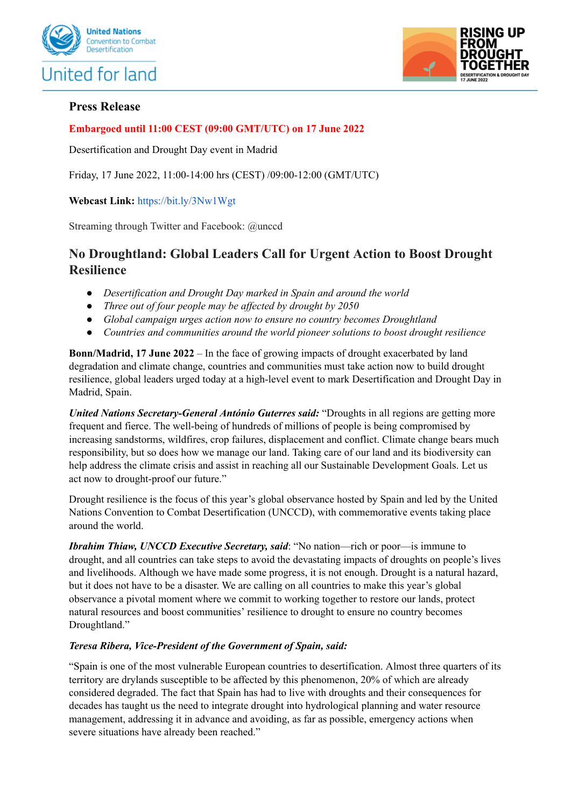



# **Press Release**

# **Embargoed until 11:00 CEST (09:00 GMT/UTC) on 17 June 2022**

Desertification and Drought Day event in Madrid

Friday, 17 June 2022, 11:00-14:00 hrs (CEST) /09:00-12:00 (GMT/UTC)

## **Webcast Link:** <https://bit.ly/3Nw1Wgt>

Streaming through Twitter and Facebook: @unccd

# **No Droughtland: Global Leaders Call for Urgent Action to Boost Drought Resilience**

- *● Desertification and Drought Day marked in Spain and around the world*
- *● Three out of four people may be af ected by drought by 2050*
- *● Global campaign urges action now to ensure no country becomes Droughtland*
- *● Countries and communities around the world pioneer solutions to boost drought resilience*

**Bonn/Madrid, 17 June 2022** – In the face of growing impacts of drought exacerbated by land degradation and climate change, countries and communities must take action now to build drought resilience, global leaders urged today at a high-level event to mark Desertification and Drought Day in Madrid, Spain.

*United Nations Secretary-General António Guterres said:* "Droughts in all regions are getting more frequent and fierce. The well-being of hundreds of millions of people is being compromised by increasing sandstorms, wildfires, crop failures, displacement and conflict. Climate change bears much responsibility, but so does how we manage our land. Taking care of our land and its biodiversity can help address the climate crisis and assist in reaching all our Sustainable Development Goals. Let us act now to drought-proof our future."

Drought resilience is the focus of this year's global observance hosted by Spain and led by the United Nations Convention to Combat Desertification (UNCCD), with commemorative events taking place around the world.

*Ibrahim Thiaw, UNCCD Executive Secretary, said*: "No nation—rich or poor—is immune to drought, and all countries can take steps to avoid the devastating impacts of droughts on people's lives and livelihoods. Although we have made some progress, it is not enough. Drought is a natural hazard, but it does not have to be a disaster. We are calling on all countries to make this year's global observance a pivotal moment where we commit to working together to restore our lands, protect natural resources and boost communities' resilience to drought to ensure no country becomes Droughtland."

#### *Teresa Ribera, Vice-President of the Government of Spain, said:*

"Spain is one of the most vulnerable European countries to desertification. Almost three quarters of its territory are drylands susceptible to be affected by this phenomenon, 20% of which are already considered degraded. The fact that Spain has had to live with droughts and their consequences for decades has taught us the need to integrate drought into hydrological planning and water resource management, addressing it in advance and avoiding, as far as possible, emergency actions when severe situations have already been reached."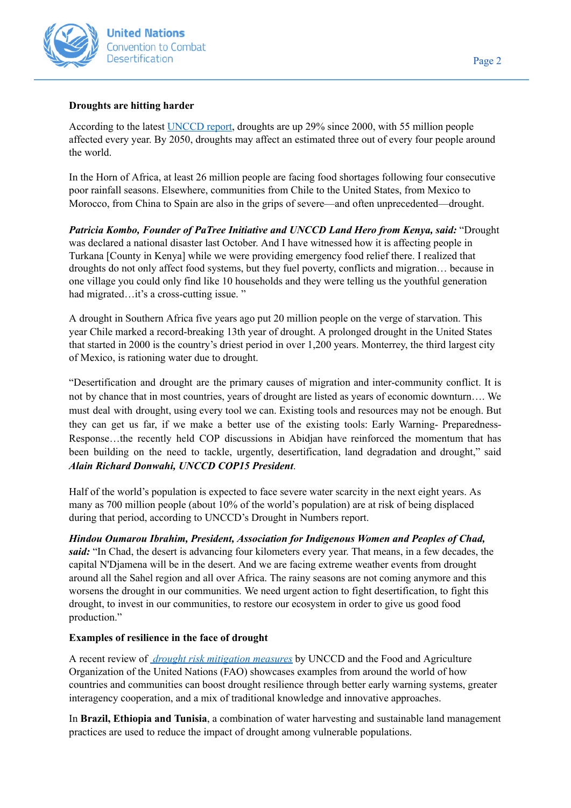

## **Droughts are hitting harder**

According to the latest [UNCCD](https://www.unccd.int/resources/publications/drought-numbers) report, droughts are up 29% since 2000, with 55 million people affected every year. By 2050, droughts may affect an estimated three out of every four people around the world.

In the Horn of Africa, at least 26 million people are facing food shortages following four consecutive poor rainfall seasons. Elsewhere, communities from Chile to the United States, from Mexico to Morocco, from China to Spain are also in the grips of severe—and often unprecedented—drought.

*Patricia Kombo, Founder of PaTree Initiative and UNCCD Land Hero from Kenya, said:* "Drought was declared a national disaster last October. And I have witnessed how it is affecting people in Turkana [County in Kenya] while we were providing emergency food relief there. I realized that droughts do not only affect food systems, but they fuel poverty, conflicts and migration… because in one village you could only find like 10 households and they were telling us the youthful generation had migrated…it's a cross-cutting issue."

A drought in Southern Africa five years ago put 20 million people on the verge of starvation. This year Chile marked a record-breaking 13th year of drought. A prolonged drought in the United States that started in 2000 is the country's driest period in over 1,200 years. Monterrey, the third largest city of Mexico, is rationing water due to drought.

"Desertification and drought are the primary causes of migration and inter-community conflict. It is not by chance that in most countries, years of drought are listed as years of economic downturn…. We must deal with drought, using every tool we can. Existing tools and resources may not be enough. But they can get us far, if we make a better use of the existing tools: Early Warning- Preparedness-Response…the recently held COP discussions in Abidjan have reinforced the momentum that has been building on the need to tackle, urgently, desertification, land degradation and drought," said *Alain Richard Donwahi, UNCCD COP15 President*.

Half of the world's population is expected to face severe water scarcity in the next eight years. As many as 700 million people (about 10% of the world's population) are at risk of being displaced during that period, according to UNCCD's Drought in Numbers report.

*Hindou Oumarou Ibrahim, President, Association for Indigenous Women and Peoples of Chad, said:* "In Chad, the desert is advancing four kilometers every year. That means, in a few decades, the capital N'Djamena will be in the desert. And we are facing extreme weather events from drought around all the Sahel region and all over Africa. The rainy seasons are not coming anymore and this worsens the drought in our communities. We need urgent action to fight desertification, to fight this drought, to invest in our communities, to restore our ecosystem in order to give us good food production."

# **Examples of resilience in the face of drought**

A recent review of *drought risk [mitigation](https://catalogue.unccd.int/1874_cb7085en.pdf) measures* by UNCCD and the Food and Agriculture Organization of the United Nations (FAO) showcases examples from around the world of how countries and communities can boost drought resilience through better early warning systems, greater interagency cooperation, and a mix of traditional knowledge and innovative approaches.

In **Brazil, Ethiopia and Tunisia**, a combination of water harvesting and sustainable land management practices are used to reduce the impact of drought among vulnerable populations.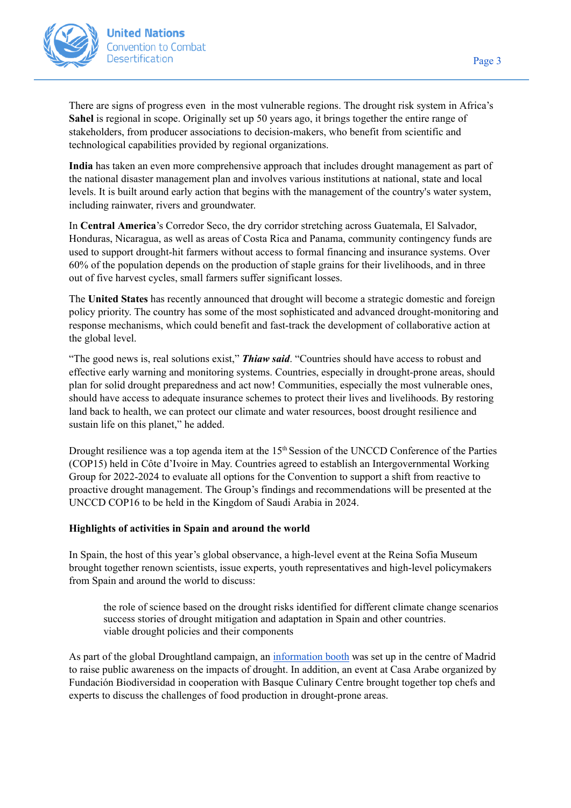

There are signs of progress even in the most vulnerable regions. The drought risk system in Africa's **Sahel** is regional in scope. Originally set up 50 years ago, it brings together the entire range of stakeholders, from producer associations to decision-makers, who benefit from scientific and technological capabilities provided by regional organizations.

**India** has taken an even more comprehensive approach that includes drought management as part of the national disaster management plan and involves various institutions at national, state and local levels. It is built around early action that begins with the management of the country's water system, including rainwater, rivers and groundwater.

In **Central America**'s Corredor Seco, the dry corridor stretching across Guatemala, El Salvador, Honduras, Nicaragua, as well as areas of Costa Rica and Panama, community contingency funds are used to support drought-hit farmers without access to formal financing and insurance systems. Over 60% of the population depends on the production of staple grains for their livelihoods, and in three out of five harvest cycles, small farmers suffer significant losses.

The **United States** has recently announced that drought will become a strategic domestic and foreign policy priority. The country has some of the most sophisticated and advanced drought-monitoring and response mechanisms, which could benefit and fast-track the development of collaborative action at the global level.

"The good news is, real solutions exist," *Thiaw said*. "Countries should have access to robust and effective early warning and monitoring systems. Countries, especially in drought-prone areas, should plan for solid drought preparedness and act now! Communities, especially the most vulnerable ones, should have access to adequate insurance schemes to protect their lives and livelihoods. By restoring land back to health, we can protect our climate and water resources, boost drought resilience and sustain life on this planet," he added.

Drought resilience was a top agenda item at the 15<sup>th</sup> Session of the UNCCD Conference of the Parties (COP15) held in Côte d'Ivoire in May. Countries [agreed](https://www.unccd.int/news-stories/press-releases/united-global-call-act-land-degradation-and-drought-concludes-major-un) to establish an Intergovernmental Working Group for 2022-2024 to evaluate all options for the Convention to support a shift from reactive to proactive drought management. The Group's findings and recommendations will be presented at the UNCCD COP16 to be held in the Kingdom of Saudi Arabia in 2024.

#### **Highlights of activities in Spain and around the world**

In Spain, the host of this year's global observance, a high-level event at the Reina Sofia Museum brought together renown scientists, issue experts, youth representatives and high-level policymakers from Spain and around the world to discuss:

the role of science based on the drought risks identified for different climate change scenarios success stories of drought mitigation and adaptation in Spain and other countries. viable drought policies and their components

As part of the global Droughtland campaign, an [information](https://droughtland.com/desertification-and-drought-day/) booth was set up in the centre of Madrid to raise public awareness on the impacts of drought. In addition, an event at Casa Arabe organized by Fundación Biodiversidad in cooperation with Basque Culinary Centre brought together top chefs and experts to discuss the challenges of food production in drought-prone areas.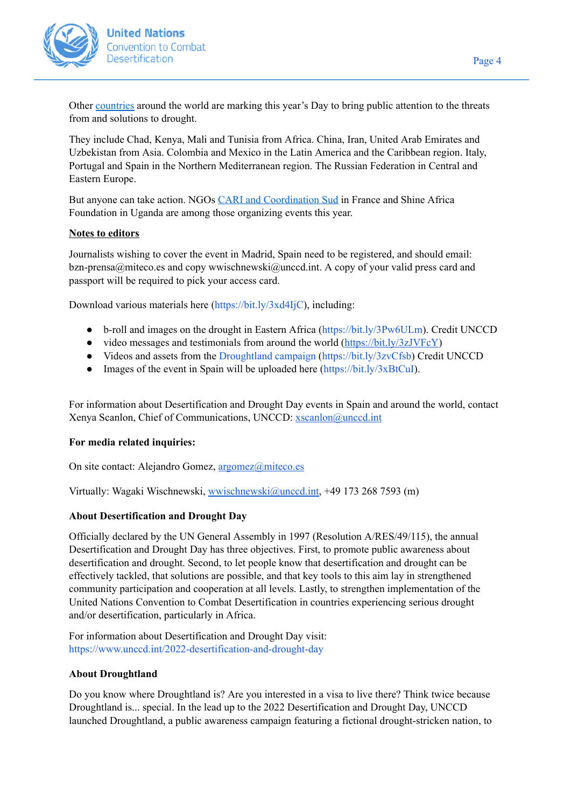

Other [countries](https://www.unccd.int/2022-desertification-and-drought-day/events-around-world) around the world are marking this year's Day to bring public attention to the threats from and solutions to drought.

They include Chad, Kenya, Mali and Tunisia from Africa. China, Iran, United Arab Emirates and Uzbekistan from Asia. Colombia and Mexico in the Latin America and the Caribbean region. Italy, Portugal and Spain in the Northern Mediterranean region. The Russian Federation in Central and Eastern Europe.

But anyone can take action. NGOs CARI and [Coordination](https://www.coordinationsud.org/evenement/quel-bilan-de-la-cop15-contre-la-desertification-et-la-secheresse/) Sud in France and Shine Africa Foundation in Uganda are among those organizing events this year.

## **Notes to editors**

Journalists wishing to cover the event in Madrid, Spain need to be registered, and should email: bzn-prensa@miteco.es and copy wwischnewski@unccd.int. A copy of your valid press card and passport will be required to pick your access card.

Download various materials here [\(https://bit.ly/3xd4IjC\)](https://bit.ly/3xd4IjC), including:

- b-roll and images on the drought in Eastern Africa [\(https://bit.ly/3Pw6ULm](https://bit.ly/3Pw6ULm)). Credit UNCCD
- video messages and testimonials from around the world (<https://bit.ly/3zJVFcY>)
- Videos and assets from the [Droughtland](https://www.unccd.int/2022-desertification-and-drought-day/droughtland-campaign) campaign [\(https://bit.ly/3zvCfsb](https://bit.ly/3zvCfsb)) Credit UNCCD
- Images of the event in Spain will be uploaded here  $(htts://bit.ly/3xBtCuI)$ .

For information about Desertification and Drought Day events in Spain and around the world, contact Xenya Scanlon, Chief of Communications, UNCCD: [xscanlon@unccd.int](mailto:xscanlon@unccd.int)

#### **For media related inquiries:**

On site contact: Alejandro Gomez, [argomez@miteco.es](mailto:argomez@miteco.es)

Virtually: Wagaki Wischnewski, [wwischnewski@unccd.int,](mailto:wwischnewski@unccd.int) +49 173 268 7593 (m)

#### **About Desertification and Drought Day**

Officially declared by the UN General Assembly in 1997 (Resolution [A/RES/49/115\)](https://documents-dds-ny.un.org/doc/UNDOC/GEN/N95/762/73/pdf/N9576273.pdf?OpenElement), the annual Desertification and Drought Day has three objectives. First, to promote public awareness about desertification and drought. Second, to let people know that desertification and drought can be effectively tackled, that solutions are possible, and that key tools to this aim lay in strengthened community participation and cooperation at all levels. Lastly, to strengthen implementation of the United Nations Convention to Combat Desertification in countries experiencing serious drought and/or desertification, particularly in Africa.

For information about Desertification and Drought Day visit: <https://www.unccd.int/2022-desertification-and-drought-day>

#### **About Droughtland**

Do you know where Droughtland is? Are you interested in a visa to live there? Think twice because Droughtland is... special. In the lead up to the 2022 Desertification and Drought Day, UNCCD launched [Droughtland](https://unccd.us6.list-manage.com/track/click?u=d257fa3ad4084c603979d0e42&id=9688062145&e=1a0c3e48fc), a public awareness campaign featuring a fictional drought-stricken nation, to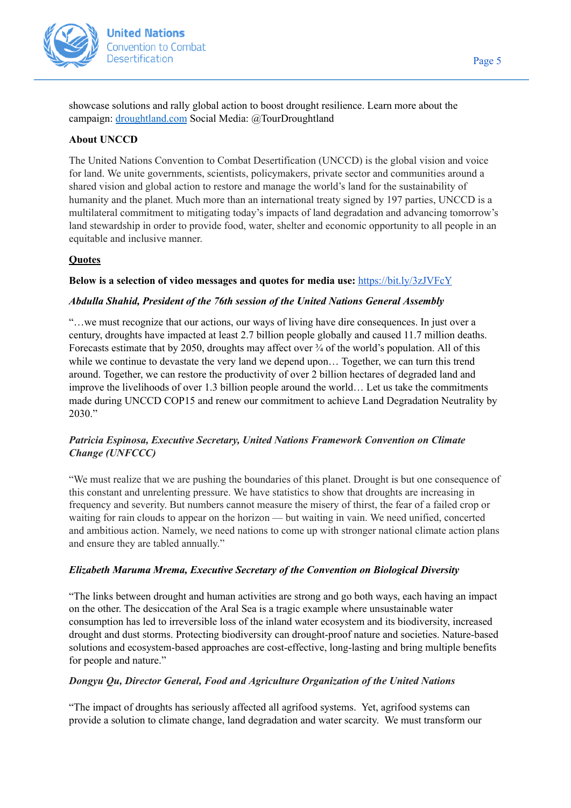

showcase solutions and rally global action to boost drought resilience. Learn more about the campaign: [droughtland.com](https://droughtland.com/) Social Media: @TourDroughtland

### **About UNCCD**

The United Nations Convention to Combat Desertification (UNCCD) is the global vision and voice for land. We unite governments, scientists, policymakers, private sector and communities around a shared vision and global action to restore and manage the world's land for the sustainability of humanity and the planet. Much more than an international treaty signed by 197 parties, UNCCD is a multilateral commitment to mitigating today's impacts of land degradation and advancing tomorrow's land stewardship in order to provide food, water, shelter and economic opportunity to all people in an equitable and inclusive manner.

# **Quotes**

## **Below is a selection of video messages and quotes for media use:** <https://bit.ly/3zJVFcY>

#### *Abdulla Shahid, President of the 76th session of the United Nations General Assembly*

"…we must recognize that our actions, our ways of living have dire consequences. In just over a century, droughts have impacted at least 2.7 billion people globally and caused 11.7 million deaths. Forecasts estimate that by 2050, droughts may affect over  $\frac{3}{4}$  of the world's population. All of this while we continue to devastate the very land we depend upon... Together, we can turn this trend around. Together, we can restore the productivity of over 2 billion hectares of degraded land and improve the livelihoods of over 1.3 billion people around the world… Let us take the commitments made during UNCCD COP15 and renew our commitment to achieve Land Degradation Neutrality by 2030."

# *Patricia Espinosa, Executive Secretary, United Nations Framework Convention on Climate Change (UNFCCC)*

"We must realize that we are pushing the boundaries of this planet. Drought is but one consequence of this constant and unrelenting pressure. We have statistics to show that droughts are increasing in frequency and severity. But numbers cannot measure the misery of thirst, the fear of a failed crop or waiting for rain clouds to appear on the horizon — but waiting in vain. We need unified, concerted and ambitious action. Namely, we need nations to come up with stronger national climate action plans and ensure they are tabled annually."

#### *Elizabeth Maruma Mrema, Executive Secretary of the Convention on Biological Diversity*

"The links between drought and human activities are strong and go both ways, each having an impact on the other. The desiccation of the Aral Sea is a tragic example where unsustainable water consumption has led to irreversible loss of the inland water ecosystem and its biodiversity, increased drought and dust storms. Protecting biodiversity can drought-proof nature and societies. Nature-based solutions and ecosystem-based approaches are cost-effective, long-lasting and bring multiple benefits for people and nature."

#### *Dongyu Qu, Director General, Food and Agriculture Organization of the United Nations*

"The impact of droughts has seriously affected all agrifood systems. Yet, agrifood systems can provide a solution to climate change, land degradation and water scarcity. We must transform our